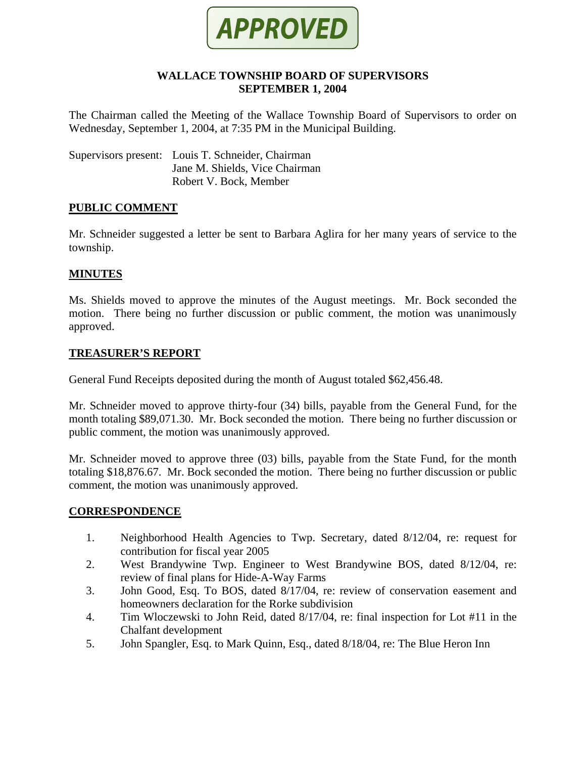

#### **WALLACE TOWNSHIP BOARD OF SUPERVISORS SEPTEMBER 1, 2004**

The Chairman called the Meeting of the Wallace Township Board of Supervisors to order on Wednesday, September 1, 2004, at 7:35 PM in the Municipal Building.

Supervisors present: Louis T. Schneider, Chairman Jane M. Shields, Vice Chairman Robert V. Bock, Member

#### **PUBLIC COMMENT**

Mr. Schneider suggested a letter be sent to Barbara Aglira for her many years of service to the township.

### **MINUTES**

Ms. Shields moved to approve the minutes of the August meetings. Mr. Bock seconded the motion. There being no further discussion or public comment, the motion was unanimously approved.

### **TREASURER'S REPORT**

General Fund Receipts deposited during the month of August totaled \$62,456.48.

Mr. Schneider moved to approve thirty-four (34) bills, payable from the General Fund, for the month totaling \$89,071.30. Mr. Bock seconded the motion. There being no further discussion or public comment, the motion was unanimously approved.

Mr. Schneider moved to approve three (03) bills, payable from the State Fund, for the month totaling \$18,876.67. Mr. Bock seconded the motion. There being no further discussion or public comment, the motion was unanimously approved.

#### **CORRESPONDENCE**

- 1. Neighborhood Health Agencies to Twp. Secretary, dated 8/12/04, re: request for contribution for fiscal year 2005
- 2. West Brandywine Twp. Engineer to West Brandywine BOS, dated 8/12/04, re: review of final plans for Hide-A-Way Farms
- 3. John Good, Esq. To BOS, dated 8/17/04, re: review of conservation easement and homeowners declaration for the Rorke subdivision
- 4. Tim Wloczewski to John Reid, dated 8/17/04, re: final inspection for Lot #11 in the Chalfant development
- 5. John Spangler, Esq. to Mark Quinn, Esq., dated 8/18/04, re: The Blue Heron Inn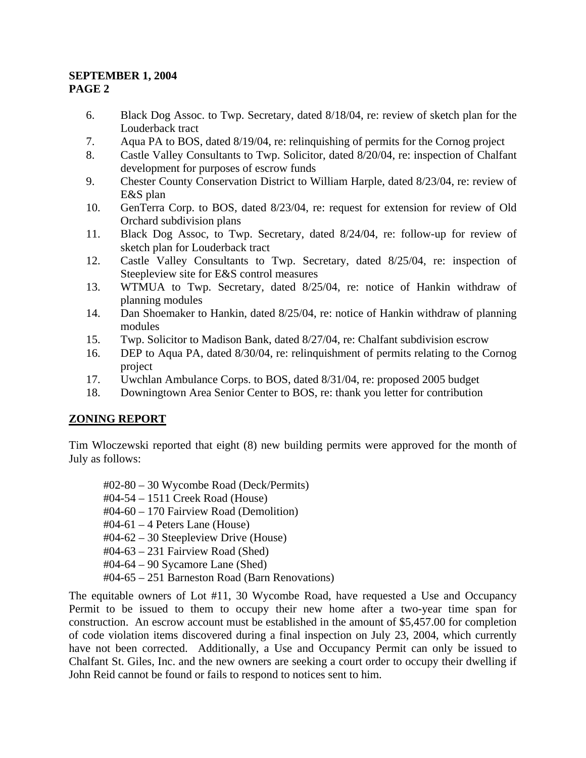- 6. Black Dog Assoc. to Twp. Secretary, dated 8/18/04, re: review of sketch plan for the Louderback tract
- 7. Aqua PA to BOS, dated 8/19/04, re: relinquishing of permits for the Cornog project
- 8. Castle Valley Consultants to Twp. Solicitor, dated 8/20/04, re: inspection of Chalfant development for purposes of escrow funds
- 9. Chester County Conservation District to William Harple, dated 8/23/04, re: review of E&S plan
- 10. GenTerra Corp. to BOS, dated 8/23/04, re: request for extension for review of Old Orchard subdivision plans
- 11. Black Dog Assoc, to Twp. Secretary, dated 8/24/04, re: follow-up for review of sketch plan for Louderback tract
- 12. Castle Valley Consultants to Twp. Secretary, dated 8/25/04, re: inspection of Steepleview site for E&S control measures
- 13. WTMUA to Twp. Secretary, dated 8/25/04, re: notice of Hankin withdraw of planning modules
- 14. Dan Shoemaker to Hankin, dated 8/25/04, re: notice of Hankin withdraw of planning modules
- 15. Twp. Solicitor to Madison Bank, dated 8/27/04, re: Chalfant subdivision escrow
- 16. DEP to Aqua PA, dated 8/30/04, re: relinquishment of permits relating to the Cornog project
- 17. Uwchlan Ambulance Corps. to BOS, dated 8/31/04, re: proposed 2005 budget
- 18. Downingtown Area Senior Center to BOS, re: thank you letter for contribution

## **ZONING REPORT**

Tim Wloczewski reported that eight (8) new building permits were approved for the month of July as follows:

#02-80 – 30 Wycombe Road (Deck/Permits)

- #04-54 1511 Creek Road (House)
- #04-60 170 Fairview Road (Demolition)
- $\text{\#04-61} 4$  Peters Lane (House)
- #04-62 30 Steepleview Drive (House)
- #04-63 231 Fairview Road (Shed)
- #04-64 90 Sycamore Lane (Shed)
- #04-65 251 Barneston Road (Barn Renovations)

The equitable owners of Lot #11, 30 Wycombe Road, have requested a Use and Occupancy Permit to be issued to them to occupy their new home after a two-year time span for construction. An escrow account must be established in the amount of \$5,457.00 for completion of code violation items discovered during a final inspection on July 23, 2004, which currently have not been corrected. Additionally, a Use and Occupancy Permit can only be issued to Chalfant St. Giles, Inc. and the new owners are seeking a court order to occupy their dwelling if John Reid cannot be found or fails to respond to notices sent to him.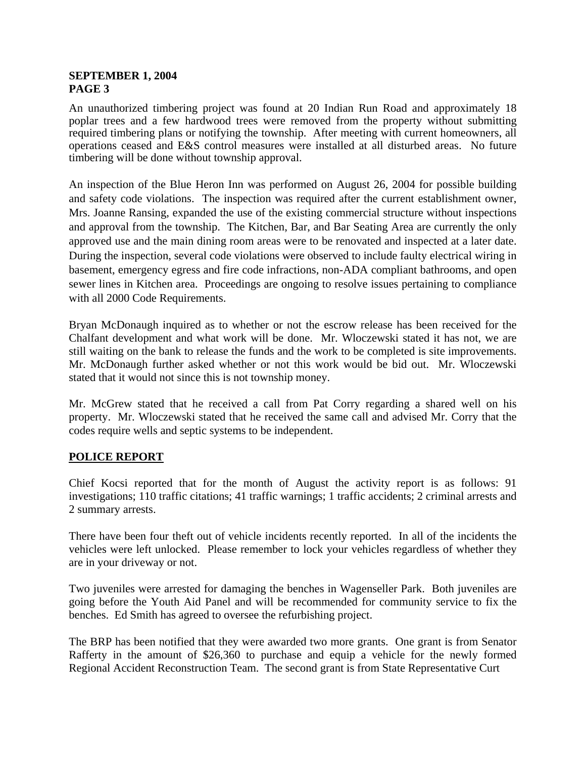An unauthorized timbering project was found at 20 Indian Run Road and approximately 18 poplar trees and a few hardwood trees were removed from the property without submitting required timbering plans or notifying the township. After meeting with current homeowners, all operations ceased and E&S control measures were installed at all disturbed areas. No future timbering will be done without township approval.

An inspection of the Blue Heron Inn was performed on August 26, 2004 for possible building and safety code violations. The inspection was required after the current establishment owner, Mrs. Joanne Ransing, expanded the use of the existing commercial structure without inspections and approval from the township. The Kitchen, Bar, and Bar Seating Area are currently the only approved use and the main dining room areas were to be renovated and inspected at a later date. During the inspection, several code violations were observed to include faulty electrical wiring in basement, emergency egress and fire code infractions, non-ADA compliant bathrooms, and open sewer lines in Kitchen area. Proceedings are ongoing to resolve issues pertaining to compliance with all 2000 Code Requirements.

Bryan McDonaugh inquired as to whether or not the escrow release has been received for the Chalfant development and what work will be done. Mr. Wloczewski stated it has not, we are still waiting on the bank to release the funds and the work to be completed is site improvements. Mr. McDonaugh further asked whether or not this work would be bid out. Mr. Wloczewski stated that it would not since this is not township money.

Mr. McGrew stated that he received a call from Pat Corry regarding a shared well on his property. Mr. Wloczewski stated that he received the same call and advised Mr. Corry that the codes require wells and septic systems to be independent.

## **POLICE REPORT**

Chief Kocsi reported that for the month of August the activity report is as follows: 91 investigations; 110 traffic citations; 41 traffic warnings; 1 traffic accidents; 2 criminal arrests and 2 summary arrests.

There have been four theft out of vehicle incidents recently reported. In all of the incidents the vehicles were left unlocked. Please remember to lock your vehicles regardless of whether they are in your driveway or not.

Two juveniles were arrested for damaging the benches in Wagenseller Park. Both juveniles are going before the Youth Aid Panel and will be recommended for community service to fix the benches. Ed Smith has agreed to oversee the refurbishing project.

The BRP has been notified that they were awarded two more grants. One grant is from Senator Rafferty in the amount of \$26,360 to purchase and equip a vehicle for the newly formed Regional Accident Reconstruction Team. The second grant is from State Representative Curt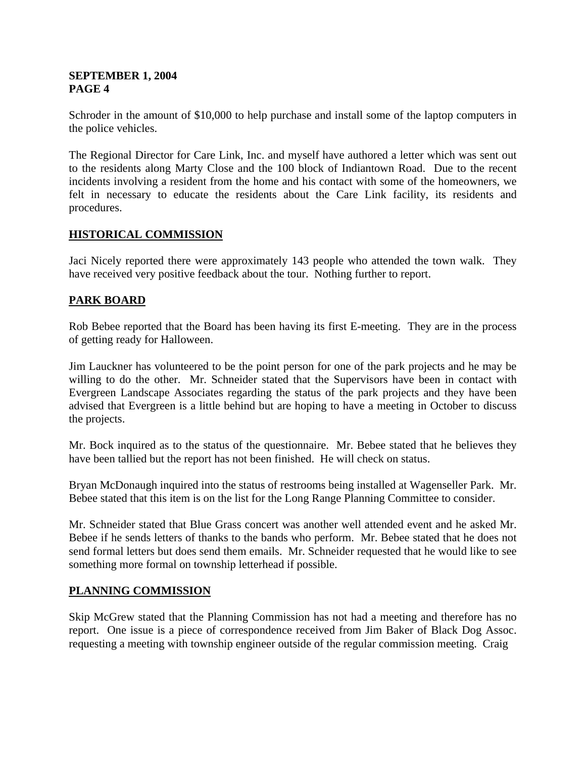Schroder in the amount of \$10,000 to help purchase and install some of the laptop computers in the police vehicles.

The Regional Director for Care Link, Inc. and myself have authored a letter which was sent out to the residents along Marty Close and the 100 block of Indiantown Road. Due to the recent incidents involving a resident from the home and his contact with some of the homeowners, we felt in necessary to educate the residents about the Care Link facility, its residents and procedures.

### **HISTORICAL COMMISSION**

Jaci Nicely reported there were approximately 143 people who attended the town walk. They have received very positive feedback about the tour. Nothing further to report.

## **PARK BOARD**

Rob Bebee reported that the Board has been having its first E-meeting. They are in the process of getting ready for Halloween.

Jim Lauckner has volunteered to be the point person for one of the park projects and he may be willing to do the other. Mr. Schneider stated that the Supervisors have been in contact with Evergreen Landscape Associates regarding the status of the park projects and they have been advised that Evergreen is a little behind but are hoping to have a meeting in October to discuss the projects.

Mr. Bock inquired as to the status of the questionnaire. Mr. Bebee stated that he believes they have been tallied but the report has not been finished. He will check on status.

Bryan McDonaugh inquired into the status of restrooms being installed at Wagenseller Park. Mr. Bebee stated that this item is on the list for the Long Range Planning Committee to consider.

Mr. Schneider stated that Blue Grass concert was another well attended event and he asked Mr. Bebee if he sends letters of thanks to the bands who perform. Mr. Bebee stated that he does not send formal letters but does send them emails. Mr. Schneider requested that he would like to see something more formal on township letterhead if possible.

#### **PLANNING COMMISSION**

Skip McGrew stated that the Planning Commission has not had a meeting and therefore has no report. One issue is a piece of correspondence received from Jim Baker of Black Dog Assoc. requesting a meeting with township engineer outside of the regular commission meeting. Craig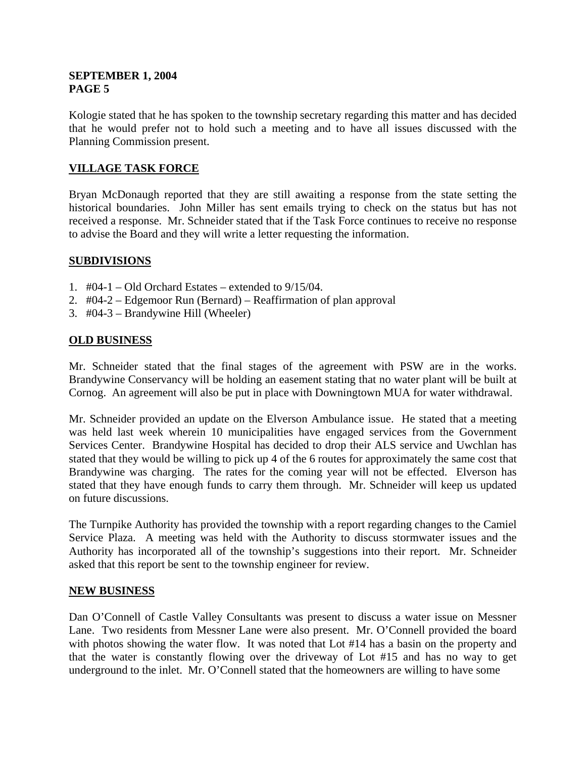Kologie stated that he has spoken to the township secretary regarding this matter and has decided that he would prefer not to hold such a meeting and to have all issues discussed with the Planning Commission present.

# **VILLAGE TASK FORCE**

Bryan McDonaugh reported that they are still awaiting a response from the state setting the historical boundaries. John Miller has sent emails trying to check on the status but has not received a response. Mr. Schneider stated that if the Task Force continues to receive no response to advise the Board and they will write a letter requesting the information.

### **SUBDIVISIONS**

- 1.  $\#04-1 Old$  Orchard Estates extended to 9/15/04.
- 2. #04-2 Edgemoor Run (Bernard) Reaffirmation of plan approval
- 3. #04-3 Brandywine Hill (Wheeler)

### **OLD BUSINESS**

Mr. Schneider stated that the final stages of the agreement with PSW are in the works. Brandywine Conservancy will be holding an easement stating that no water plant will be built at Cornog. An agreement will also be put in place with Downingtown MUA for water withdrawal.

Mr. Schneider provided an update on the Elverson Ambulance issue. He stated that a meeting was held last week wherein 10 municipalities have engaged services from the Government Services Center. Brandywine Hospital has decided to drop their ALS service and Uwchlan has stated that they would be willing to pick up 4 of the 6 routes for approximately the same cost that Brandywine was charging. The rates for the coming year will not be effected. Elverson has stated that they have enough funds to carry them through. Mr. Schneider will keep us updated on future discussions.

The Turnpike Authority has provided the township with a report regarding changes to the Camiel Service Plaza. A meeting was held with the Authority to discuss stormwater issues and the Authority has incorporated all of the township's suggestions into their report. Mr. Schneider asked that this report be sent to the township engineer for review.

#### **NEW BUSINESS**

Dan O'Connell of Castle Valley Consultants was present to discuss a water issue on Messner Lane. Two residents from Messner Lane were also present. Mr. O'Connell provided the board with photos showing the water flow. It was noted that Lot #14 has a basin on the property and that the water is constantly flowing over the driveway of Lot #15 and has no way to get underground to the inlet. Mr. O'Connell stated that the homeowners are willing to have some